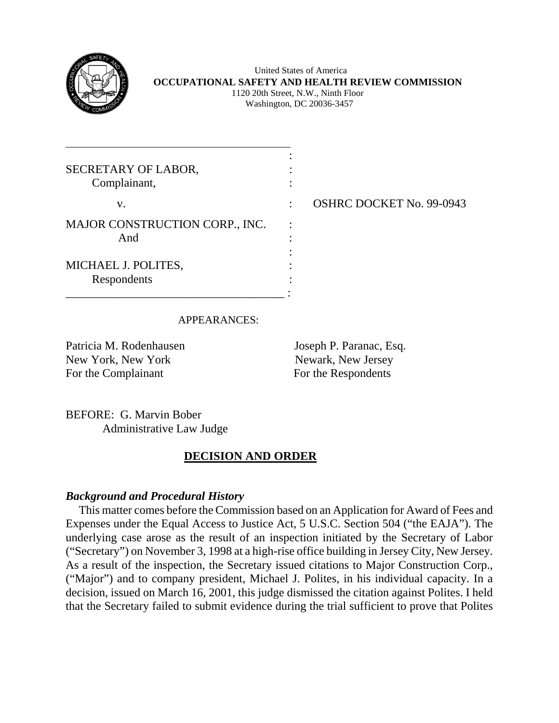

l

 United States of America **OCCUPATIONAL SAFETY AND HEALTH REVIEW COMMISSION** 1120 20th Street, N.W., Ninth Floor Washington, DC 20036-3457

| SECRETARY OF LABOR,<br>Complainant,   |  |
|---------------------------------------|--|
| V.                                    |  |
| MAJOR CONSTRUCTION CORP., INC.<br>And |  |
| MICHAEL J. POLITES,<br>Respondents    |  |
|                                       |  |

: OSHRC DOCKET No. 99-0943

## APPEARANCES:

Patricia M. Rodenhausen Joseph P. Paranac, Esq. New York, New York Newslett, New Jersey For the Complainant For the Respondents

BEFORE: G. Marvin Bober Administrative Law Judge

# **DECISION AND ORDER**

## *Background and Procedural History*

This matter comes before the Commission based on an Application for Award of Fees and Expenses under the Equal Access to Justice Act, 5 U.S.C. Section 504 ("the EAJA"). The underlying case arose as the result of an inspection initiated by the Secretary of Labor ("Secretary") on November 3, 1998 at a high-rise office building in Jersey City, New Jersey. As a result of the inspection, the Secretary issued citations to Major Construction Corp., ("Major") and to company president, Michael J. Polites, in his individual capacity. In a decision, issued on March 16, 2001, this judge dismissed the citation against Polites. I held that the Secretary failed to submit evidence during the trial sufficient to prove that Polites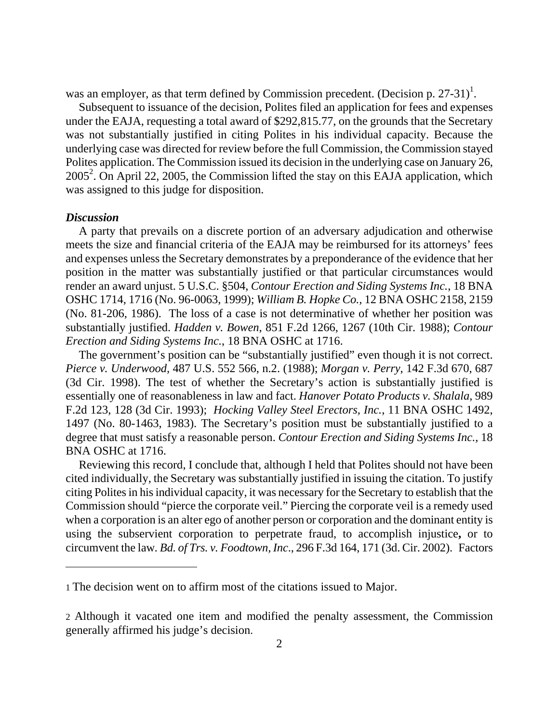was an employer, as that term defined by Commission precedent. (Decision p. 27-3[1](#page-1-0))<sup>1</sup>.

 Subsequent to issuance of the decision, Polites filed an application for fees and expenses under the EAJA, requesting a total award of \$292,815.77, on the grounds that the Secretary was not substantially justified in citing Polites in his individual capacity. Because the underlying case was directed for review before the full Commission, the Commission stayed Polites application. The Commission issued its decision in the underlying case on January 26,  $2005<sup>2</sup>$  $2005<sup>2</sup>$ . On April 22, 2005, the Commission lifted the stay on this EAJA application, which was assigned to this judge for disposition.

#### *Discussion*

 $\overline{a}$ 

A party that prevails on a discrete portion of an adversary adjudication and otherwise meets the size and financial criteria of the EAJA may be reimbursed for its attorneys' fees and expenses unless the Secretary demonstrates by a preponderance of the evidence that her position in the matter was substantially justified or that particular circumstances would render an award unjust. 5 U.S.C. §504, *Contour Erection and Siding Systems Inc.*, 18 BNA OSHC 1714, 1716 (No. 96-0063, 1999); *William B. Hopke Co.,* 12 BNA OSHC 2158, 2159 (No. 81-206, 1986). The loss of a case is not determinative of whether her position was substantially justified. *Hadden v. Bowen*, 851 F.2d 1266, 1267 (10th Cir. 1988); *Contour Erection and Siding Systems Inc.*, 18 BNA OSHC at 1716.

 The government's position can be "substantially justified" even though it is not correct. *Pierce v. Underwood,* 487 U.S. 552 566, n.2. (1988); *Morgan v. Perry*, 142 F.3d 670, 687 (3d Cir. 1998). The test of whether the Secretary's action is substantially justified is essentially one of reasonableness in law and fact. *Hanover Potato Products v. Shalala*, 989 F.2d 123, 128 (3d Cir. 1993); *Hocking Valley Steel Erectors, Inc.*, 11 BNA OSHC 1492, 1497 (No. 80-1463, 1983). The Secretary's position must be substantially justified to a degree that must satisfy a reasonable person. *Contour Erection and Siding Systems Inc.*, 18 BNA OSHC at 1716.

 Reviewing this record, I conclude that, although I held that Polites should not have been cited individually, the Secretary was substantially justified in issuing the citation. To justify citing Polites in his individual capacity, it was necessary for the Secretary to establish that the Commission should "pierce the corporate veil." Piercing the corporate veil is a remedy used when a corporation is an alter ego of another person or corporation and the dominant entity is using the subservient corporation to perpetrate fraud, to accomplish injustice**,** or to circumvent the law*. Bd. of Trs. v. Foodtown, Inc*., 296 F.3d 164, 171 (3d. Cir. 2002).Factors

<span id="page-1-0"></span><sup>1</sup> The decision went on to affirm most of the citations issued to Major.

<span id="page-1-1"></span><sup>2</sup> Although it vacated one item and modified the penalty assessment, the Commission generally affirmed his judge's decision.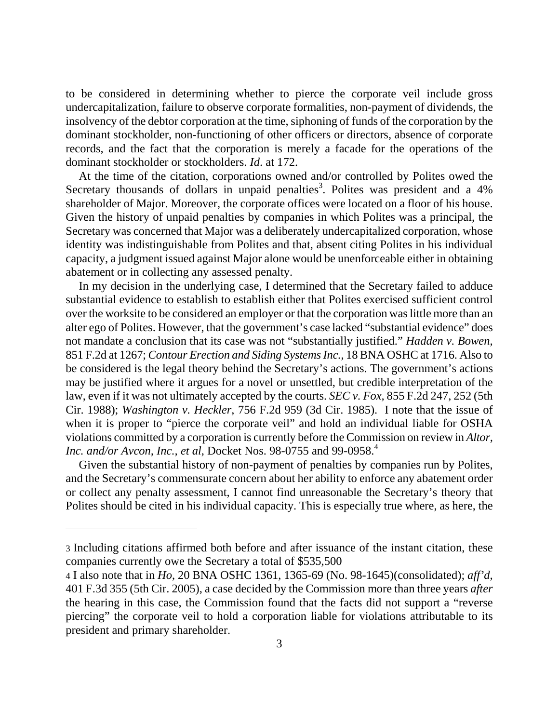to be considered in determining whether to pierce the corporate veil include gross undercapitalization, failure to observe corporate formalities, non-payment of dividends, the insolvency of the debtor corporation at the time, siphoning of funds of the corporation by the dominant stockholder, non-functioning of other officers or directors, absence of corporate records, and the fact that the corporation is merely a facade for the operations of the dominant stockholder or stockholders. *Id*. at 172.

 At the time of the citation, corporations owned and/or controlled by Polites owed the Secretary thousands of dollars in unpaid penalties<sup>[3](#page-2-0)</sup>. Polites was president and a  $4\%$ shareholder of Major. Moreover, the corporate offices were located on a floor of his house. Given the history of unpaid penalties by companies in which Polites was a principal, the Secretary was concerned that Major was a deliberately undercapitalized corporation, whose identity was indistinguishable from Polites and that, absent citing Polites in his individual capacity, a judgment issued against Major alone would be unenforceable either in obtaining abatement or in collecting any assessed penalty.

 In my decision in the underlying case, I determined that the Secretary failed to adduce substantial evidence to establish to establish either that Polites exercised sufficient control over the worksite to be considered an employer or that the corporation was little more than an alter ego of Polites. However, that the government's case lacked "substantial evidence" does not mandate a conclusion that its case was not "substantially justified." *Hadden v. Bowen*, 851 F.2d at 1267; *Contour Erection and Siding Systems Inc.*, 18 BNA OSHC at 1716. Also to be considered is the legal theory behind the Secretary's actions. The government's actions may be justified where it argues for a novel or unsettled, but credible interpretation of the law, even if it was not ultimately accepted by the courts. *SEC v. Fox,* 855 F.2d 247, 252 (5th Cir. 1988); *Washington v. Heckler*, 756 F.2d 959 (3d Cir. 1985). I note that the issue of when it is proper to "pierce the corporate veil" and hold an individual liable for OSHA violations committed by a corporation is currently before the Commission on review in *Altor, Inc. and/or Avcon, Inc., et al, Docket Nos.* 98-0755 and 99-0958.<sup>4</sup>

Given the substantial history of non-payment of penalties by companies run by Polites, and the Secretary's commensurate concern about her ability to enforce any abatement order or collect any penalty assessment, I cannot find unreasonable the Secretary's theory that Polites should be cited in his individual capacity. This is especially true where, as here, the

<span id="page-2-0"></span><sup>3</sup> Including citations affirmed both before and after issuance of the instant citation, these companies currently owe the Secretary a total of \$535,500

<span id="page-2-1"></span><sup>4</sup> I also note that in *Ho*, 20 BNA OSHC 1361, 1365-69 (No. 98-1645)(consolidated); *aff'd*, 401 F.3d 355 (5th Cir. 2005), a case decided by the Commission more than three years *after*  the hearing in this case, the Commission found that the facts did not support a "reverse piercing" the corporate veil to hold a corporation liable for violations attributable to its president and primary shareholder.